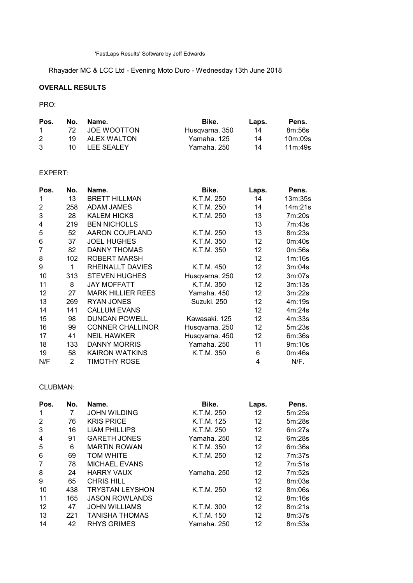'FastLaps Results' Software by Jeff Edwards

Rhayader MC & LCC Ltd - Evening Moto Duro - Wednesday 13th June 2018

# OVERALL RESULTS

## PRO:

| Pos.   | No.  | Name.          | Bike.          | Laps. | Pens.   |
|--------|------|----------------|----------------|-------|---------|
| $\sim$ |      | 72 JOE WOOTTON | Husqvarna, 350 | 14    | 8m:56s  |
| 2      | 19 I | ALEX WALTON    | Yamaha. 125    | 14    | 10m:09s |
| 3      | 10 I | LEE SEALEY     | Yamaha. 250    | 14    | 11m:49s |

## EXPERT:

| Pos. | No. | Name.                    | Bike.          | Laps.           | Pens.   |
|------|-----|--------------------------|----------------|-----------------|---------|
| 1    | 13  | <b>BRETT HILLMAN</b>     | K.T.M. 250     | 14              | 13m:35s |
| 2    | 258 | <b>ADAM JAMES</b>        | K.T.M. 250     | 14              | 14m:21s |
| 3    | 28  | <b>KALEM HICKS</b>       | K.T.M. 250     | 13              | 7m:20s  |
| 4    | 219 | <b>BEN NICHOLLS</b>      |                | 13              | 7m:43s  |
| 5    | 52  | AARON COUPLAND           | K.T.M. 250     | 13              | 8m:23s  |
| 6    | 37  | <b>JOEL HUGHES</b>       | K.T.M. 350     | 12              | 0m:40s  |
| 7    | 82  | DANNY THOMAS             | K.T.M. 350     | 12              | 0m:56s  |
| 8    | 102 | ROBERT MARSH             |                | 12              | 1m:16s  |
| 9    | 1   | RHEINALLT DAVIES         | K.T.M. 450     | 12              | 3m:04s  |
| 10   | 313 | <b>STEVEN HUGHES</b>     | Husqvarna. 250 | 12              | 3m:07s  |
| 11   | 8   | <b>JAY MOFFATT</b>       | K.T.M. 350     | 12 <sup>2</sup> | 3m:13s  |
| 12   | 27  | <b>MARK HILLIER REES</b> | Yamaha. 450    | 12              | 3m:22s  |
| 13   | 269 | <b>RYAN JONES</b>        | Suzuki. 250    | 12              | 4m:19s  |
| 14   | 141 | <b>CALLUM EVANS</b>      |                | 12              | 4m:24s  |
| 15   | 98  | <b>DUNCAN POWELL</b>     | Kawasaki, 125  | 12              | 4m:33s  |
| 16   | 99  | <b>CONNER CHALLINOR</b>  | Husqvarna. 250 | 12 <sup>2</sup> | 5m:23s  |
| 17   | 41  | <b>NEIL HAWKER</b>       | Husqvarna. 450 | 12 <sup>2</sup> | 6m:36s  |
| 18   | 133 | <b>DANNY MORRIS</b>      | Yamaha. 250    | 11              | 9m:10s  |
| 19   | 58  | <b>KAIRON WATKINS</b>    | K.T.M. 350     | 6               | 0m:46s  |
| N/F  | 2   | TIMOTHY ROSE             |                | 4               | N/F.    |

### CLUBMAN:

| Pos. | No. | Name.                  | Bike.       | Laps. | Pens.  |
|------|-----|------------------------|-------------|-------|--------|
|      | 7   | <b>JOHN WILDING</b>    | K.T.M. 250  | 12    | 5m:25s |
| 2    | 76  | <b>KRIS PRICE</b>      | K.T.M. 125  | 12    | 5m:28s |
| 3    | 16  | <b>LIAM PHILLIPS</b>   | K.T.M. 250  | 12    | 6m:27s |
| 4    | 91  | <b>GARETH JONES</b>    | Yamaha. 250 | 12    | 6m:28s |
| 5    | 6   | <b>MARTIN ROWAN</b>    | K.T.M. 350  | 12    | 6m:36s |
| 6    | 69  | <b>TOM WHITE</b>       | K.T.M. 250  | 12    | 7m:37s |
| 7    | 78  | <b>MICHAEL EVANS</b>   |             | 12    | 7m:51s |
| 8    | 24  | <b>HARRY VAUX</b>      | Yamaha, 250 | 12    | 7m:52s |
| 9    | 65  | <b>CHRIS HILL</b>      |             | 12    | 8m:03s |
| 10   | 438 | <b>TRYSTAN LEYSHON</b> | K.T.M. 250  | 12    | 8m:06s |
| 11   | 165 | <b>JASON ROWLANDS</b>  |             | 12    | 8m:16s |
| 12   | 47  | <b>JOHN WILLIAMS</b>   | K.T.M. 300  | 12    | 8m:21s |
| 13   | 221 | <b>TANISHA THOMAS</b>  | K.T.M. 150  | 12    | 8m:37s |
| 14   | 42  | <b>RHYS GRIMES</b>     | Yamaha. 250 | 12    | 8m:53s |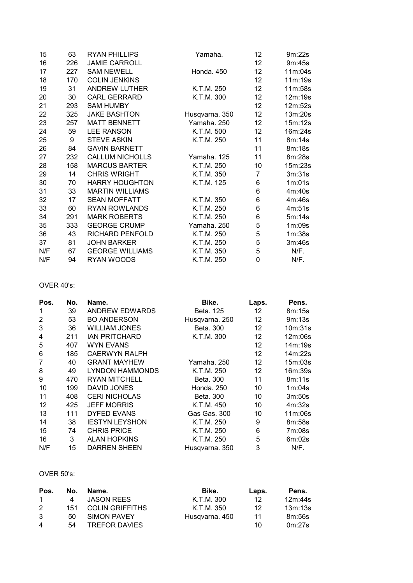| 15  | 63  | <b>RYAN PHILLIPS</b>   | Yamaha.        | 12              | 9m:22s  |
|-----|-----|------------------------|----------------|-----------------|---------|
| 16  | 226 | <b>JAMIE CARROLL</b>   |                | 12              | 9m:45s  |
| 17  | 227 | <b>SAM NEWELL</b>      | Honda. 450     | 12 <sup>°</sup> | 11m:04s |
| 18  | 170 | <b>COLIN JENKINS</b>   |                | 12 <sup>°</sup> | 11m:19s |
| 19  | 31  | <b>ANDREW LUTHER</b>   | K.T.M. 250     | 12 <sup>°</sup> | 11m:58s |
| 20  | 30  | <b>CARL GERRARD</b>    | K.T.M. 300     | 12              | 12m:19s |
| 21  | 293 | <b>SAM HUMBY</b>       |                | 12 <sup>2</sup> | 12m:52s |
| 22  | 325 | <b>JAKE BASHTON</b>    | Husqvarna. 350 | 12              | 13m:20s |
| 23  | 257 | <b>MATT BENNETT</b>    | Yamaha. 250    | 12 <sup>2</sup> | 15m:12s |
| 24  | 59  | <b>LEE RANSON</b>      | K.T.M. 500     | 12 <sup>2</sup> | 16m:24s |
| 25  | 9   | <b>STEVE ASKIN</b>     | K.T.M. 250     | 11              | 8m:14s  |
| 26  | 84  | <b>GAVIN BARNETT</b>   |                | 11              | 8m:18s  |
| 27  | 232 | <b>CALLUM NICHOLLS</b> | Yamaha. 125    | 11              | 8m:28s  |
| 28  | 158 | <b>MARCUS BARTER</b>   | K.T.M. 250     | 10              | 15m:23s |
| 29  | 14  | <b>CHRIS WRIGHT</b>    | K.T.M. 350     | 7               | 3m:31s  |
| 30  | 70  | <b>HARRY HOUGHTON</b>  | K.T.M. 125     | 6               | 1m:01s  |
| 31  | 33  | <b>MARTIN WILLIAMS</b> |                | 6               | 4m:40s  |
| 32  | 17  | <b>SEAN MOFFATT</b>    | K.T.M. 350     | 6               | 4m:46s  |
| 33  | 60  | <b>RYAN ROWLANDS</b>   | K.T.M. 250     | 6               | 4m:51s  |
| 34  | 291 | <b>MARK ROBERTS</b>    | K.T.M. 250     | 6               | 5m:14s  |
| 35  | 333 | <b>GEORGE CRUMP</b>    | Yamaha. 250    | 5               | 1m:09s  |
| 36  | 43  | <b>RICHARD PENFOLD</b> | K.T.M. 250     | 5               | 1m:38s  |
| 37  | 81  | <b>JOHN BARKER</b>     | K.T.M. 250     | 5               | 3m:46s  |
| N/F | 67  | <b>GEORGE WILLIAMS</b> | K.T.M. 350     | 5               | N/F.    |
| N/F | 94  | RYAN WOODS             | K.T.M. 250     | 0               | N/F.    |

## OVER 40's:

| Pos.           | No. | Name.                  | Bike.          | Laps.           | Pens.   |
|----------------|-----|------------------------|----------------|-----------------|---------|
| 1              | 39  | ANDREW EDWARDS         | Beta, 125      | 12              | 8m:15s  |
| $\overline{2}$ | 53  | <b>BO ANDERSON</b>     | Husqvarna. 250 | 12 <sup>2</sup> | 9m:13s  |
| 3              | 36  | <b>WILLIAM JONES</b>   | Beta, 300      | 12              | 10m:31s |
| 4              | 211 | <b>IAN PRITCHARD</b>   | K.T.M. 300     | 12              | 12m:06s |
| 5              | 407 | WYN EVANS              |                | 12              | 14m:19s |
| 6              | 185 | <b>CAERWYN RALPH</b>   |                | 12              | 14m:22s |
| 7              | 40  | <b>GRANT MAYHEW</b>    | Yamaha, 250    | 12              | 15m:03s |
| 8              | 49  | <b>LYNDON HAMMONDS</b> | K.T.M. 250     | 12              | 16m:39s |
| 9              | 470 | <b>RYAN MITCHELL</b>   | Beta, 300      | 11              | 8m:11s  |
| 10             | 199 | DAVID JONES            | Honda, 250     | 10              | 1m:04s  |
| 11             | 408 | <b>CERI NICHOLAS</b>   | Beta, 300      | 10              | 3m:50s  |
| 12             | 425 | <b>JEFF MORRIS</b>     | K.T.M. 450     | 10              | 4m:32s  |
| 13             | 111 | <b>DYFED EVANS</b>     | Gas Gas. 300   | 10              | 11m:06s |
| 14             | 38  | <b>IESTYN LEYSHON</b>  | K.T.M. 250     | 9               | 8m:58s  |
| 15             | 74  | <b>CHRIS PRICE</b>     | K.T.M. 250     | 6               | 7m:08s  |
| 16             | 3   | <b>ALAN HOPKINS</b>    | K.T.M. 250     | 5               | 6m:02s  |
| N/F            | 15  | <b>DARREN SHEEN</b>    | Husqvarna. 350 | 3               | N/F.    |

#### OVER 50's:

| Pos.          | No. | Name.                  | Bike.          | Laps. | Pens.   |
|---------------|-----|------------------------|----------------|-------|---------|
| $\mathbf{1}$  | 4   | <b>JASON REES</b>      | K.T.M. 300     | 12    | 12m:44s |
| $\mathcal{P}$ | 151 | <b>COLIN GRIFFITHS</b> | K.T.M. 350     | 12    | 13m:13s |
| 3             | 50. | SIMON PAVEY            | Husqvarna, 450 | 11    | 8m:56s  |
| 4             | 54  | <b>TREFOR DAVIES</b>   |                | 10    | 0m:27s  |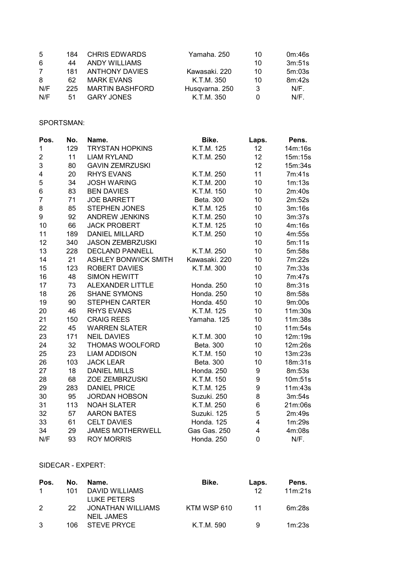| -5             | 184 | <b>CHRIS EDWARDS</b>   | Yamaha, 250    | 10 | 0m:46s  |
|----------------|-----|------------------------|----------------|----|---------|
| 6              | 44  | <b>ANDY WILLIAMS</b>   |                | 10 | 3m:51s  |
| $\overline{7}$ | 181 | <b>ANTHONY DAVIES</b>  | Kawasaki, 220  | 10 | 5m:03s  |
| 8              | 62  | <b>MARK EVANS</b>      | K.T.M. 350     | 10 | 8m:42s  |
| N/F            | 225 | <b>MARTIN BASHFORD</b> | Husqvarna. 250 | 3  | $N/F$ . |
| N/F            | .51 | <b>GARY JONES</b>      | K.T.M. 350     |    | $N/F$ . |

### SPORTSMAN:

| Pos.           | No. | Name.                       | Bike.         | Laps.                   | Pens.   |
|----------------|-----|-----------------------------|---------------|-------------------------|---------|
| 1              | 129 | <b>TRYSTAN HOPKINS</b>      | K.T.M. 125    | 12                      | 14m:16s |
| $\overline{2}$ | 11  | <b>LIAM RYLAND</b>          | K.T.M. 250    | 12                      | 15m:15s |
| 3              | 80  | <b>GAVIN ZEMRZUSKI</b>      |               | 12                      | 15m:34s |
| 4              | 20  | <b>RHYS EVANS</b>           | K.T.M. 250    | 11                      | 7m:41s  |
| 5              | 34  | <b>JOSH WARING</b>          | K.T.M. 200    | 10                      | 1m:13s  |
| 6              | 83  | <b>BEN DAVIES</b>           | K.T.M. 150    | 10                      | 2m:40s  |
| $\overline{7}$ | 71  | <b>JOE BARRETT</b>          | Beta. 300     | 10                      | 2m:52s  |
| 8              | 85  | <b>STEPHEN JONES</b>        | K.T.M. 125    | 10                      | 3m:16s  |
| 9              | 92  | ANDREW JENKINS              | K.T.M. 250    | 10                      | 3m:37s  |
| 10             | 66  | <b>JACK PROBERT</b>         | K.T.M. 125    | 10                      | 4m:16s  |
| 11             | 189 | <b>DANIEL MILLARD</b>       | K.T.M. 250    | 10                      | 4m:55s  |
| 12             | 340 | <b>JASON ZEMBRZUSKI</b>     |               | 10                      | 5m:11s  |
| 13             | 228 | <b>DECLAND PANNELL</b>      | K.T.M. 250    | 10                      | 5m:58s  |
| 14             | 21  | <b>ASHLEY BONWICK SMITH</b> | Kawasaki. 220 | 10                      | 7m:22s  |
| 15             | 123 | ROBERT DAVIES               | K.T.M. 300    | 10                      | 7m:33s  |
| 16             | 48  | <b>SIMON HEWITT</b>         |               | 10                      | 7m:47s  |
| 17             | 73  | <b>ALEXANDER LITTLE</b>     | Honda. 250    | 10                      | 8m:31s  |
| 18             | 26  | <b>SHANE SYMONS</b>         | Honda. 250    | 10                      | 8m:58s  |
| 19             | 90  | <b>STEPHEN CARTER</b>       | Honda. 450    | 10                      | 9m:00s  |
| 20             | 46  | <b>RHYS EVANS</b>           | K.T.M. 125    | 10                      | 11m:30s |
| 21             | 150 | <b>CRAIG REES</b>           | Yamaha. 125   | 10                      | 11m:38s |
| 22             | 45  | <b>WARREN SLATER</b>        |               | 10                      | 11m:54s |
| 23             | 171 | <b>NEIL DAVIES</b>          | K.T.M. 300    | 10                      | 12m:19s |
| 24             | 32  | THOMAS WOOLFORD             | Beta. 300     | 10                      | 12m:26s |
| 25             | 23  | <b>LIAM ADDISON</b>         | K.T.M. 150    | 10                      | 13m:23s |
| 26             | 103 | <b>JACK LEAR</b>            | Beta. 300     | 10                      | 18m:31s |
| 27             | 18  | <b>DANIEL MILLS</b>         | Honda. 250    | 9                       | 8m:53s  |
| 28             | 68  | ZOE ZEMBRZUSKI              | K.T.M. 150    | 9                       | 10m:51s |
| 29             | 283 | <b>DANIEL PRICE</b>         | K.T.M. 125    | 9                       | 11m:43s |
| 30             | 95  | <b>JORDAN HOBSON</b>        | Suzuki. 250   | 8                       | 3m:54s  |
| 31             | 113 | <b>NOAH SLATER</b>          | K.T.M. 250    | $\,6$                   | 21m:06s |
| 32             | 57  | <b>AARON BATES</b>          | Suzuki. 125   | 5                       | 2m:49s  |
| 33             | 61  | <b>CELT DAVIES</b>          | Honda. 125    | $\overline{\mathbf{4}}$ | 1m:29s  |
| 34             | 29  | <b>JAMES MOTHERWELL</b>     | Gas Gas. 250  | $\overline{\mathbf{4}}$ | 4m:08s  |
| N/F            | 93  | <b>ROY MORRIS</b>           | Honda. 250    | 0                       | N/F.    |

#### SIDECAR - EXPERT:

| Pos.          | No. | Name.             | Bike.       | Laps. | Pens.   |
|---------------|-----|-------------------|-------------|-------|---------|
| $\mathbf{1}$  | 101 | DAVID WILLIAMS    |             | -12   | 11m:21s |
|               |     | LUKE PETERS       |             |       |         |
| $\mathcal{P}$ | 22  | JONATHAN WILLIAMS | KTM WSP 610 | -11   | 6m:28s  |
|               |     | NEIL JAMES        |             |       |         |
| 3             |     | 106 STEVE PRYCE   | K.T.M. 590  | 9     | 1m:23s  |